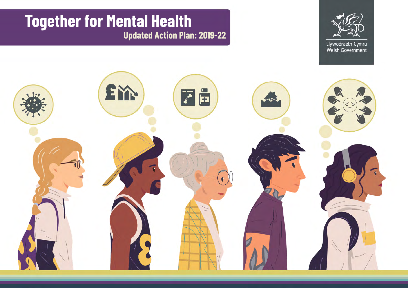# **Together for Mental Health Updated Action Plan: 2019-22**



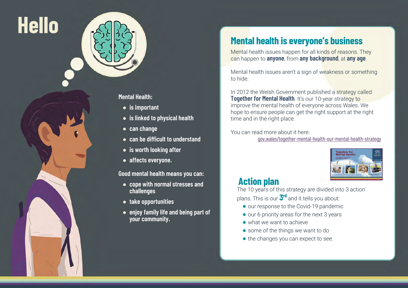



**Mental Health:** 

- **is important**
- **is linked to physical health**
- **can change**
- **can be difficult to understand**
- **is worth looking after**
- **affects everyone.**

**Good mental health means you can:**

- **cope with normal stresses and challenges**
- **take opportunities**
- **enjoy family life and being part of your community.**

# **Mental health is everyone's business**

Mental health issues happen for all kinds of reasons. They can happen to **anyone**, from **any background**, at **any age**.

Mental health issues aren't a sign of weakness or something to hide.

In 2012 the Welsh Government published a strategy called **Together for Mental Health**. It's our 10-year strategy to improve the mental health of everyone across Wales. We hope to ensure people can get the right support at the right time and in the right place.

You can read more about it here:

[gov.wales/together-mental-health-our-mental-health-strategy](https://gov.wales/together-mental-health-our-mental-health-strategy)



## **Action plan**

The 10 years of this strategy are divided into 3 action plans. This is our **3rd** and it tells you about:

- **●** our response to the Covid-19 pandemic
- **●** our 6 priority areas for the next 3 years
- **●** what we want to achieve
- **●** some of the things we want to do
- **●** the changes you can expect to see.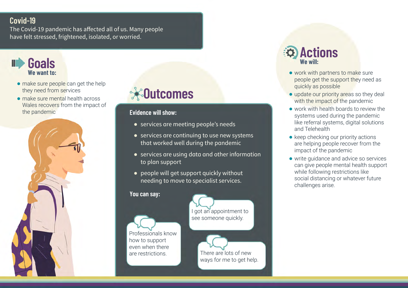## **Covid-19**

The Covid-19 pandemic has affected all of us. Many people have felt stressed, frightened, isolated, or worried.



- **●** make sure people can get the help they need from services
- **●** make sure mental health across Wales recovers from the impact of the pandemic



# **Outcomes**

#### **Evidence will show:**

- services are meeting people's needs
- services are continuing to use new systems that worked well during the pandemic
- services are using data and other information to plan support
- people will get support quickly without needing to move to specialist services.

#### **You can say:**

Professionals know how to support even when there



- **●** work with partners to make sure people get the support they need as quickly as possible
- **●** update our priority areas so they deal with the impact of the pandemic
- **●** work with health boards to review the systems used during the pandemic like referral systems, digital solutions and Telehealth
- **●** keep checking our priority actions are helping people recover from the impact of the pandemic
- **●** write guidance and advice so services can give people mental health support while following restrictions like social distancing or whatever future challenges arise.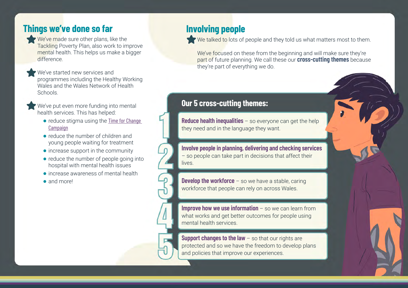## **Things we've done so far**

- We've made sure other plans, like the Tackling Poverty Plan, also work to improve mental health. This helps us make a bigger difference.
	- We've started new services and programmes including the Healthy Working Wales and the Wales Network of Health Schools.

We've put even more funding into mental health services. This has helped:

- reduce stigma using the Time for Change [Campaign](https://www.timetochangewales.org.uk/en/)
- **●** reduce the number of children and young people waiting for treatment
- **●** increase support in the community
- **●** reduce the number of people going into hospital with mental health issues
- **●** increase awareness of mental health

**●** and more!

# **Involving people**

We talked to lots of people and they told us what matters most to them.

We've focused on these from the beginning and will make sure they're part of future planning. We call these our **cross-cutting themes** because they're part of everything we do.

## **Our 5 cross-cutting themes:**

**Reduce health inequalities** – so everyone can get the help they need and in the language they want.

**Involve people in planning, delivering and checking services** – so people can take part in decisions that affect their lives.

**Develop the workforce** – so we have a stable, caring workforce that people can rely on across Wales.

**Improve how we use information** – so we can learn from what works and get better outcomes for people using mental health services.

**Support changes to the law - so that our rights are** protected and so we have the freedom to develop plans and policies that improve our experiences.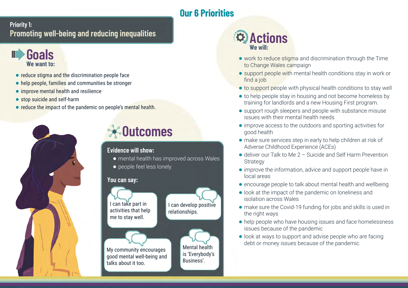# **Our 6 Priorities**

## **Priority 1: Promoting well-being and reducing inequalities**

## **Goals We want to:**

- **●** reduce stigma and the discrimination people face
- **●** help people, families and communities be stronger
- **●** improve mental health and resilience
- **●** stop suicide and self-harm
- **●** reduce the impact of the pandemic on people's mental health.



### **Evidence will show:**

- **●** mental health has improved across Wales
- **●** people feel less lonely.

#### **You can say:**





- **●** work to reduce stigma and discrimination through the Time to Change Wales campaign
- **●** support people with mental health conditions stay in work or find a job
- **●** to support people with physical health conditions to stay well
- **●** to help people stay in housing and not become homeless by training for landlords and a new Housing First program.
- **●** support rough sleepers and people with substance misuse issues with their mental health needs
- **●** improve access to the outdoors and sporting activities for good health
- **●** make sure services step in early to help children at risk of Adverse Childhood Experience (ACEs)
- **●** deliver our Talk to Me 2 Suicide and Self Harm Prevention **Strategy**
- **●** improve the information, advice and support people have in local areas
- **●** encourage people to talk about mental health and wellbeing
- **●** look at the impact of the pandemic on loneliness and isolation across Wales
- **●** make sure the Covid-19 funding for jobs and skills is used in the right ways
- **●** help people who have housing issues and face homelessness issues because of the pandemic
- **●** look at ways to support and advise people who are facing debt or money issues because of the pandemic.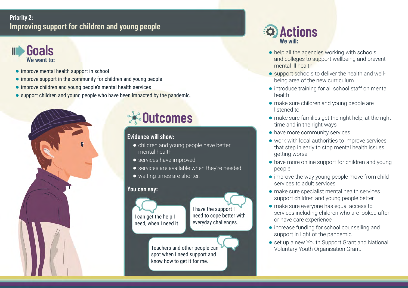### **Priority 2: Improving support for children and young people**



- **●** improve mental health support in school
- **●** improve support in the community for children and young people
- **●** improve children and young people's mental health services
- **●** support children and young people who have been impacted by the pandemic.



# **<sup><sup><del></del></sub> ⊙utcomes**</sup></sup>

### **Evidence will show:**

- **●** children and young people have better mental health
- **●** services have improved
- **●** services are available when they're needed
- **●** waiting times are shorter.

### **You can say:**



- **●** help all the agencies working with schools and colleges to support wellbeing and prevent mental ill health
- **●** support schools to deliver the health and wellbeing area of the new curriculum
- **●** introduce training for all school staff on mental health
- **●** make sure children and young people are listened to
- **●** make sure families get the right help, at the right time and in the right ways
- **●** have more community services
- **●** work with local authorities to improve services that step in early to stop mental health issues getting worse
- **●** have more online support for children and young people.
- **●** improve the way young people move from child services to adult services
- **●** make sure specialist mental health services support children and young people better
- **●** make sure everyone has equal access to services including children who are looked after or have care experience
- **●** increase funding for school counselling and support in light of the pandemic
- set up a new Youth Support Grant and National Voluntary Youth Organisation Grant.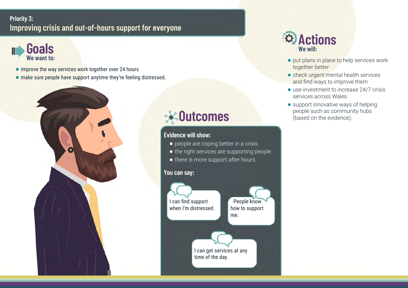### **Priority 3: Improving crisis and out-of-hours support for everyone**



- **●** improve the way services work together over 24 hours
- **●** make sure people have support anytime they're feeling distressed.



# **Outcomes**

### **Evidence will show:**

- **●** people are coping better in a crisis
- **●** the right services are supporting people
- **●** there is more support after hours.

#### **You can say:**





- **●** put plans in place to help services work together better
- **●** check urgent mental health services and find ways to improve them
- use investment to increase 24/7 crisis services across Wales
- **●** support innovative ways of helping people such as community hubs (based on the evidence).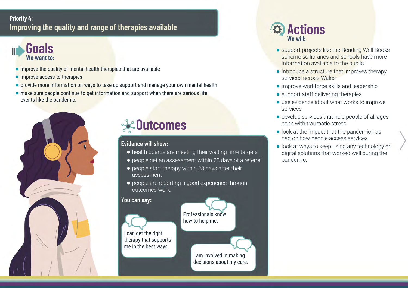## **Priority 4: Improving the quality and range of therapies available**



- **●** improve the quality of mental health therapies that are available
- improve access to therapies
- **●** provide more information on ways to take up support and manage your own mental health
- **●** make sure people continue to get information and support when there are serious life events like the pandemic.



# **Outcomes**

#### **Evidence will show:**

- **●** health boards are meeting their waiting time targets
- **●** people get an assessment within 28 days of a referral
- **●** people start therapy within 28 days after their assessment
- **●** people are reporting a good experience through outcomes work.

#### **You can say:**



Professionals know how to help me.

> I am involved in making decisions about my care.

- **●** support projects like the Reading Well Books scheme so libraries and schools have more information available to the public
- **●** introduce a structure that improves therapy services across Wales
- **●** improve workforce skills and leadership
- **●** support staff delivering therapies
- **●** use evidence about what works to improve services
- **●** develop services that help people of all ages cope with traumatic stress
- **●** look at the impact that the pandemic has had on how people access services
- **●** look at ways to keep using any technology or digital solutions that worked well during the pandemic.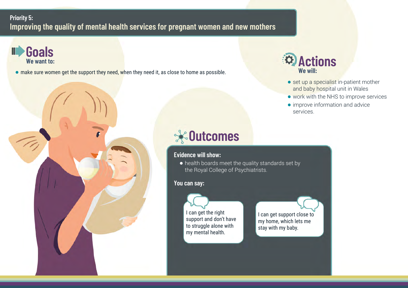### **Priority 5: Improving the quality of mental health services for pregnant women and new mothers**



● make sure women get the support they need, when they need it, as close to home as possible.



# **<sup><sup><sup>***◆</sup>* **Dutcomes</mark>**</sup></sup></sup>

#### **Evidence will show:**

**●** health boards meet the quality standards set by the Royal College of Psychiatrists.

#### **You can say:**

I can get the right support and don't have to struggle alone with my mental health.

I can get support close to my home, which lets me stay with my baby.



- set up a specialist in-patient mother and baby hospital unit in Wales
- **●** work with the NHS to improve services
- **●** improve information and advice services.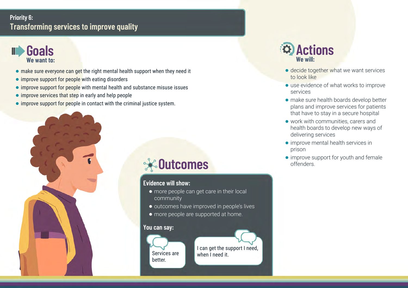### **Priority 6: Transforming services to improve quality**



- **●** make sure everyone can get the right mental health support when they need it
- **●** improve support for people with eating disorders
- **●** improve support for people with mental health and substance misuse issues
- **●** improve services that step in early and help people
- **●** improve support for people in contact with the criminal justice system.



# **Outcomes**

#### **Evidence will show:**

- **●** more people can get care in their local community
- **●** outcomes have improved in people's lives
- **●** more people are supported at home.

#### **You can say:**

Services are better.

I can get the support I need, when I need it.

- **●** decide together what we want services to look like
- **●** use evidence of what works to improve services
- **●** make sure health boards develop better plans and improve services for patients that have to stay in a secure hospital
- **●** work with communities, carers and health boards to develop new ways of delivering services
- **●** improve mental health services in prison
- **●** improve support for youth and female offenders.